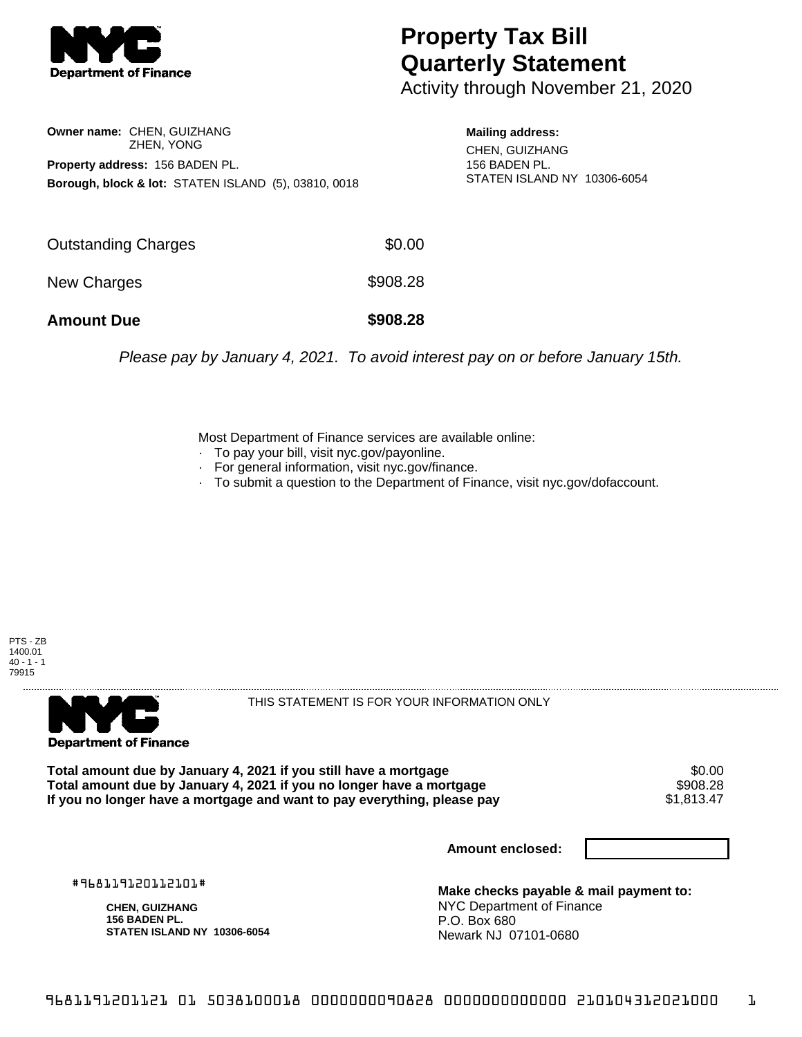

## **Property Tax Bill Quarterly Statement**

Activity through November 21, 2020

**Owner name:** CHEN, GUIZHANG ZHEN, YONG **Property address:** 156 BADEN PL. **Borough, block & lot:** STATEN ISLAND (5), 03810, 0018

**Mailing address:**

CHEN, GUIZHANG 156 BADEN PL. STATEN ISLAND NY 10306-6054

| <b>Amount Due</b>   | \$908.28 |
|---------------------|----------|
| New Charges         | \$908.28 |
| Outstanding Charges | \$0.00   |

Please pay by January 4, 2021. To avoid interest pay on or before January 15th.

Most Department of Finance services are available online:

- · To pay your bill, visit nyc.gov/payonline.
- For general information, visit nyc.gov/finance.
- · To submit a question to the Department of Finance, visit nyc.gov/dofaccount.





THIS STATEMENT IS FOR YOUR INFORMATION ONLY

Total amount due by January 4, 2021 if you still have a mortgage \$0.00<br>Total amount due by January 4, 2021 if you no longer have a mortgage \$908.28 **Total amount due by January 4, 2021 if you no longer have a mortgage \$908.28**<br>If you no longer have a mortgage and want to pay everything, please pay \$1,813.47 If you no longer have a mortgage and want to pay everything, please pay

**Amount enclosed:**

#968119120112101#

**CHEN, GUIZHANG 156 BADEN PL. STATEN ISLAND NY 10306-6054**

**Make checks payable & mail payment to:** NYC Department of Finance P.O. Box 680 Newark NJ 07101-0680